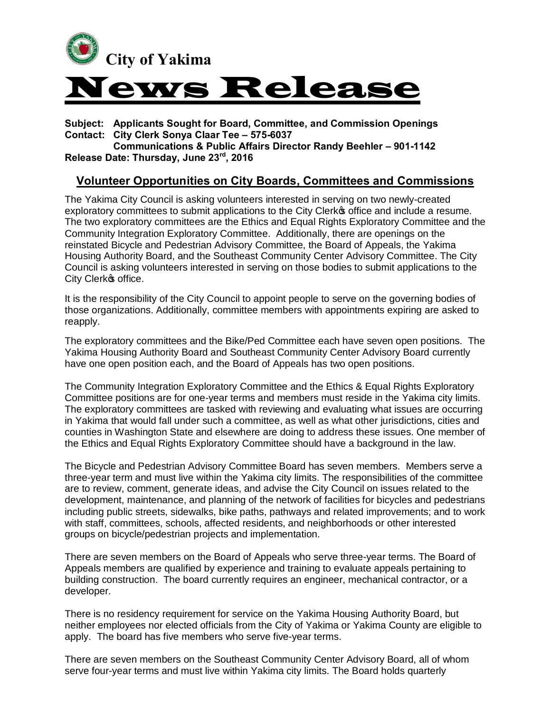

**Subject: Applicants Sought for Board, Committee, and Commission Openings Contact: City Clerk Sonya Claar Tee – 575-6037**

**Communications & Public Affairs Director Randy Beehler – 901-1142 Release Date: Thursday, June 23rd, 2016**

## **Volunteer Opportunities on City Boards, Committees and Commissions**

The Yakima City Council is asking volunteers interested in serving on two newly-created exploratory committees to submit applications to the City Clerk office and include a resume. The two exploratory committees are the Ethics and Equal Rights Exploratory Committee and the Community Integration Exploratory Committee. Additionally, there are openings on the reinstated Bicycle and Pedestrian Advisory Committee, the Board of Appeals, the Yakima Housing Authority Board, and the Southeast Community Center Advisory Committee. The City Council is asking volunteers interested in serving on those bodies to submit applications to the City Clerk<sup>o</sup>s office.

It is the responsibility of the City Council to appoint people to serve on the governing bodies of those organizations. Additionally, committee members with appointments expiring are asked to reapply.

The exploratory committees and the Bike/Ped Committee each have seven open positions. The Yakima Housing Authority Board and Southeast Community Center Advisory Board currently have one open position each, and the Board of Appeals has two open positions.

The Community Integration Exploratory Committee and the Ethics & Equal Rights Exploratory Committee positions are for one-year terms and members must reside in the Yakima city limits. The exploratory committees are tasked with reviewing and evaluating what issues are occurring in Yakima that would fall under such a committee, as well as what other jurisdictions, cities and counties in Washington State and elsewhere are doing to address these issues. One member of the Ethics and Equal Rights Exploratory Committee should have a background in the law.

The Bicycle and Pedestrian Advisory Committee Board has seven members. Members serve a three-year term and must live within the Yakima city limits. The responsibilities of the committee are to review, comment, generate ideas, and advise the City Council on issues related to the development, maintenance, and planning of the network of facilities for bicycles and pedestrians including public streets, sidewalks, bike paths, pathways and related improvements; and to work with staff, committees, schools, affected residents, and neighborhoods or other interested groups on bicycle/pedestrian projects and implementation.

There are seven members on the Board of Appeals who serve three-year terms. The Board of Appeals members are qualified by experience and training to evaluate appeals pertaining to building construction. The board currently requires an engineer, mechanical contractor, or a developer.

There is no residency requirement for service on the Yakima Housing Authority Board, but neither employees nor elected officials from the City of Yakima or Yakima County are eligible to apply. The board has five members who serve five-year terms.

There are seven members on the Southeast Community Center Advisory Board, all of whom serve four-year terms and must live within Yakima city limits. The Board holds quarterly